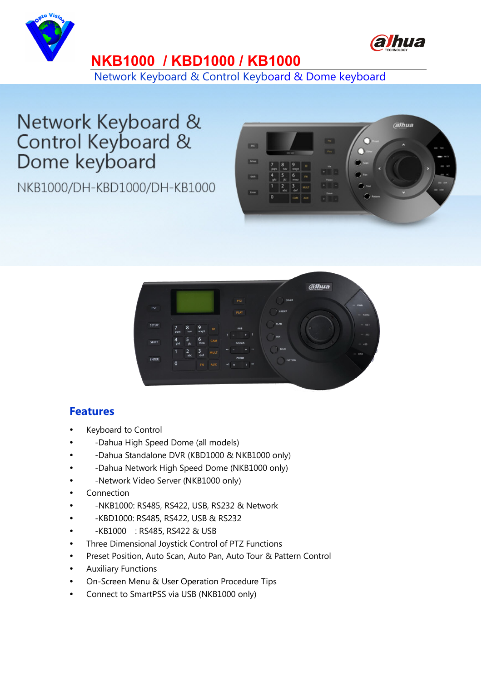



## **NKB1000 / KBD1000 / KB1000**

Network Keyboard & Control Keyboard & Dome keyboard

## Network Keyboard & Control Keyboard & Dome keyboard

NKB1000/DH-KBD1000/DH-KB1000





## **Features**

- Keyboard to Control
- -Dahua High Speed Dome (all models)
- -Dahua Standalone DVR (KBD1000 & NKB1000 only)
- -Dahua Network High Speed Dome (NKB1000 only)
- -Network Video Server (NKB1000 only)
- Connection
- -NKB1000: RS485, RS422, USB, RS232 & Network
- -KBD1000: RS485, RS422, USB & RS232
- -KB1000 : RS485, RS422 & USB
- Three Dimensional Joystick Control of PTZ Functions
- Preset Position, Auto Scan, Auto Pan, Auto Tour & Pattern Control
- Auxiliary Functions
- On-Screen Menu & User Operation Procedure Tips
- Connect to SmartPSS via USB (NKB1000 only)